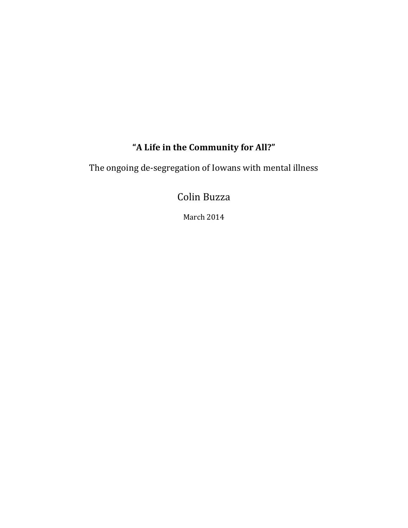## **"A Life in the Community for All?"**

The ongoing de-segregation of Iowans with mental illness

Colin Buzza

March 2014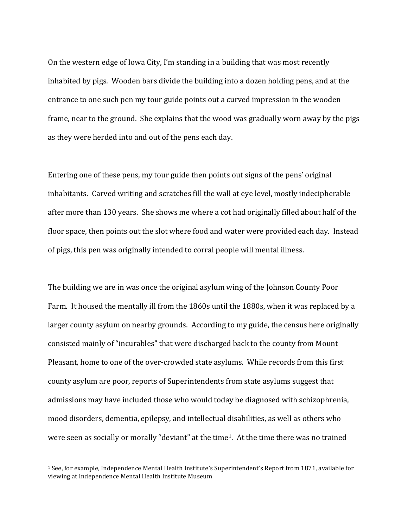On the western edge of Iowa City, I'm standing in a building that was most recently inhabited by pigs. Wooden bars divide the building into a dozen holding pens, and at the entrance to one such pen my tour guide points out a curved impression in the wooden frame, near to the ground. She explains that the wood was gradually worn away by the pigs as they were herded into and out of the pens each day.

Entering one of these pens, my tour guide then points out signs of the pens' original inhabitants. Carved writing and scratches fill the wall at eye level, mostly indecipherable after more than 130 years. She shows me where a cot had originally filled about half of the floor space, then points out the slot where food and water were provided each day. Instead of pigs, this pen was originally intended to corral people will mental illness.

The building we are in was once the original asylum wing of the Johnson County Poor Farm. It housed the mentally ill from the 1860s until the 1880s, when it was replaced by a larger county asylum on nearby grounds. According to my guide, the census here originally consisted mainly of "incurables" that were discharged back to the county from Mount Pleasant, home to one of the over-crowded state asylums. While records from this first county asylum are poor, reports of Superintendents from state asylums suggest that admissions may have included those who would today be diagnosed with schizophrenia, mood disorders, dementia, epilepsy, and intellectual disabilities, as well as others who were seen as socially or morally "deviant" at the time<sup>1</sup>. At the time there was no trained

 $1$  See, for example, Independence Mental Health Institute's Superintendent's Report from 1871, available for viewing at Independence Mental Health Institute Museum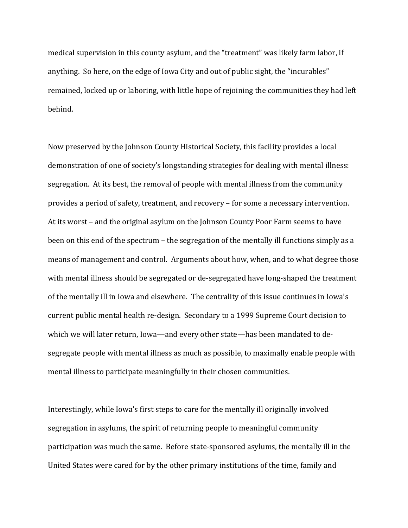medical supervision in this county asylum, and the "treatment" was likely farm labor, if anything. So here, on the edge of Iowa City and out of public sight, the "incurables" remained, locked up or laboring, with little hope of rejoining the communities they had left behind.

Now preserved by the Johnson County Historical Society, this facility provides a local demonstration of one of society's longstanding strategies for dealing with mental illness: segregation. At its best, the removal of people with mental illness from the community provides a period of safety, treatment, and recovery – for some a necessary intervention. At its worst – and the original asylum on the Johnson County Poor Farm seems to have been on this end of the spectrum – the segregation of the mentally ill functions simply as a means of management and control. Arguments about how, when, and to what degree those with mental illness should be segregated or de-segregated have long-shaped the treatment of the mentally ill in Iowa and elsewhere. The centrality of this issue continues in Iowa's current public mental health re-design. Secondary to a 1999 Supreme Court decision to which we will later return, Iowa—and every other state—has been mandated to desegregate people with mental illness as much as possible, to maximally enable people with mental illness to participate meaningfully in their chosen communities.

Interestingly, while Iowa's first steps to care for the mentally ill originally involved segregation in asylums, the spirit of returning people to meaningful community participation was much the same. Before state-sponsored asylums, the mentally ill in the United States were cared for by the other primary institutions of the time, family and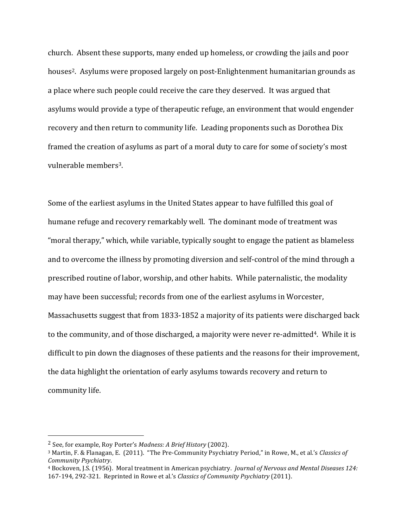church. Absent these supports, many ended up homeless, or crowding the jails and poor houses<sup>2</sup>. Asylums were proposed largely on post-Enlightenment humanitarian grounds as a place where such people could receive the care they deserved. It was argued that asylums would provide a type of therapeutic refuge, an environment that would engender recovery and then return to community life. Leading proponents such as Dorothea Dix framed the creation of asylums as part of a moral duty to care for some of society's most vulnerable members<sup>3</sup>.

Some of the earliest asylums in the United States appear to have fulfilled this goal of humane refuge and recovery remarkably well. The dominant mode of treatment was "moral therapy," which, while variable, typically sought to engage the patient as blameless and to overcome the illness by promoting diversion and self-control of the mind through a prescribed routine of labor, worship, and other habits. While paternalistic, the modality may have been successful; records from one of the earliest asylums in Worcester, Massachusetts suggest that from 1833-1852 a majority of its patients were discharged back to the community, and of those discharged, a majority were never re-admitted<sup>4</sup>. While it is difficult to pin down the diagnoses of these patients and the reasons for their improvement, the data highlight the orientation of early asylums towards recovery and return to community life.

<sup>&</sup>lt;sup>2</sup> See, for example, Roy Porter's *Madness: A Brief History* (2002).

<sup>&</sup>lt;sup>3</sup> Martin, F. & Flanagan, E. (2011). "The Pre-Community Psychiatry Period," in Rowe, M., et al.'s Classics of *Community Psychiatry*.

<sup>&</sup>lt;sup>4</sup> Bockoven, J.S. (1956). Moral treatment in American psychiatry. *Journal of Nervous and Mental Diseases 124:* 167-194, 292-321. Reprinted in Rowe et al.'s *Classics of Community Psychiatry* (2011).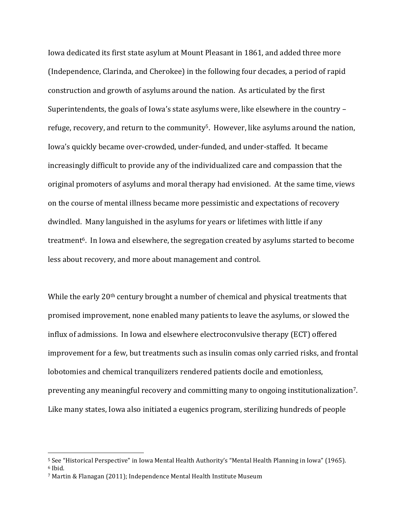Iowa dedicated its first state asylum at Mount Pleasant in 1861, and added three more (Independence, Clarinda, and Cherokee) in the following four decades, a period of rapid construction and growth of asylums around the nation. As articulated by the first Superintendents, the goals of Iowa's state asylums were, like elsewhere in the country  $$ refuge, recovery, and return to the community<sup>5</sup>. However, like asylums around the nation, Iowa's quickly became over-crowded, under-funded, and under-staffed. It became increasingly difficult to provide any of the individualized care and compassion that the original promoters of asylums and moral therapy had envisioned. At the same time, views on the course of mental illness became more pessimistic and expectations of recovery dwindled. Many languished in the asylums for years or lifetimes with little if any treatment<sup>6</sup>. In Iowa and elsewhere, the segregation created by asylums started to become less about recovery, and more about management and control.

While the early 20<sup>th</sup> century brought a number of chemical and physical treatments that promised improvement, none enabled many patients to leave the asylums, or slowed the influx of admissions. In Iowa and elsewhere electroconvulsive therapy (ECT) offered improvement for a few, but treatments such as insulin comas only carried risks, and frontal lobotomies and chemical tranquilizers rendered patients docile and emotionless, preventing any meaningful recovery and committing many to ongoing institutionalization<sup>7</sup>. Like many states, Iowa also initiated a eugenics program, sterilizing hundreds of people

 $5$  See "Historical Perspective" in Iowa Mental Health Authority's "Mental Health Planning in Iowa" (1965). <sup>6</sup> Ibid.

<sup>&</sup>lt;sup>7</sup> Martin & Flanagan (2011); Independence Mental Health Institute Museum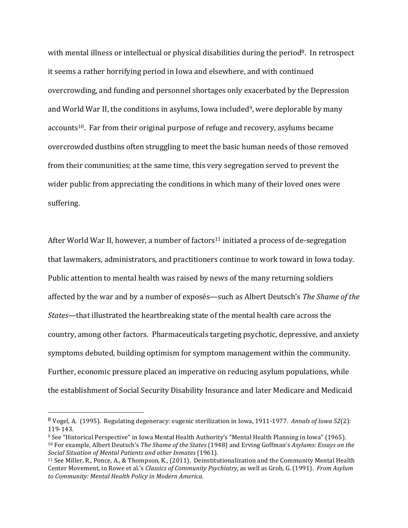with mental illness or intellectual or physical disabilities during the period<sup>8</sup>. In retrospect it seems a rather horrifying period in Iowa and elsewhere, and with continued overcrowding, and funding and personnel shortages only exacerbated by the Depression and World War II, the conditions in asylums, Iowa included<sup>9</sup>, were deplorable by many accounts<sup>10</sup>. Far from their original purpose of refuge and recovery, asylums became overcrowded dustbins often struggling to meet the basic human needs of those removed from their communities; at the same time, this very segregation served to prevent the wider public from appreciating the conditions in which many of their loved ones were suffering. 

After World War II, however, a number of factors<sup>11</sup> initiated a process of de-segregation that lawmakers, administrators, and practitioners continue to work toward in Iowa today. Public attention to mental health was raised by news of the many returning soldiers affected by the war and by a number of exposés—such as Albert Deutsch's *The Shame of the States*—that illustrated the heartbreaking state of the mental health care across the country, among other factors. Pharmaceuticals targeting psychotic, depressive, and anxiety symptoms debuted, building optimism for symptom management within the community. Further, economic pressure placed an imperative on reducing asylum populations, while the establishment of Social Security Disability Insurance and later Medicare and Medicaid

 $8$  Vogel, A. (1995). Regulating degeneracy: eugenic sterilization in Iowa, 1911-1977. Annals of Iowa 52(2): 119-143. 

<sup>&</sup>lt;sup>9</sup> See "Historical Perspective" in Iowa Mental Health Authority's "Mental Health Planning in Iowa" (1965). <sup>10</sup> For example, Albert Deutsch's *The Shame of the States* (1948) and Erving Goffman's *Asylums: Essays on the Social Situation of Mental Patients and other Inmates* (1961). 

<sup>&</sup>lt;sup>11</sup> See Miller, R., Ponce, A., & Thompson, K., (2011). Deinstitutionalization and the Community Mental Health Center Movement, in Rowe et al.'s *Classics of Community Psychiatry*, as well as Grob, G. (1991). *From Asylum* to Community: Mental Health Policy in Modern America.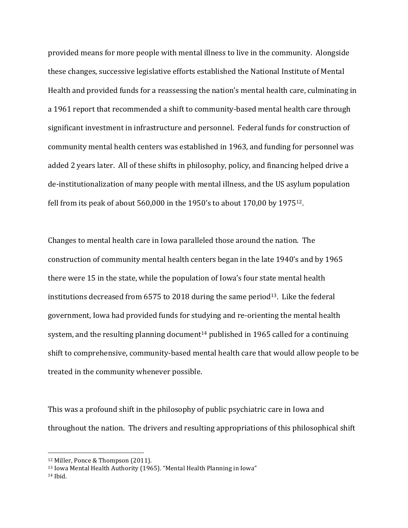provided means for more people with mental illness to live in the community. Alongside these changes, successive legislative efforts established the National Institute of Mental Health and provided funds for a reassessing the nation's mental health care, culminating in a 1961 report that recommended a shift to community-based mental health care through significant investment in infrastructure and personnel. Federal funds for construction of community mental health centers was established in 1963, and funding for personnel was added 2 years later. All of these shifts in philosophy, policy, and financing helped drive a de-institutionalization of many people with mental illness, and the US asylum population fell from its peak of about  $560,000$  in the 1950's to about 170,00 by 1975<sup>12</sup>.

Changes to mental health care in Iowa paralleled those around the nation. The construction of community mental health centers began in the late 1940's and by 1965 there were 15 in the state, while the population of Iowa's four state mental health institutions decreased from  $6575$  to 2018 during the same period<sup>13</sup>. Like the federal government, Iowa had provided funds for studying and re-orienting the mental health system, and the resulting planning document<sup>14</sup> published in 1965 called for a continuing shift to comprehensive, community-based mental health care that would allow people to be treated in the community whenever possible.

This was a profound shift in the philosophy of public psychiatric care in Iowa and throughout the nation. The drivers and resulting appropriations of this philosophical shift

 <sup>12</sup> Miller, Ponce & Thompson (2011).

<sup>&</sup>lt;sup>13</sup> Iowa Mental Health Authority (1965). "Mental Health Planning in Iowa"

<sup>14</sup> Ibid.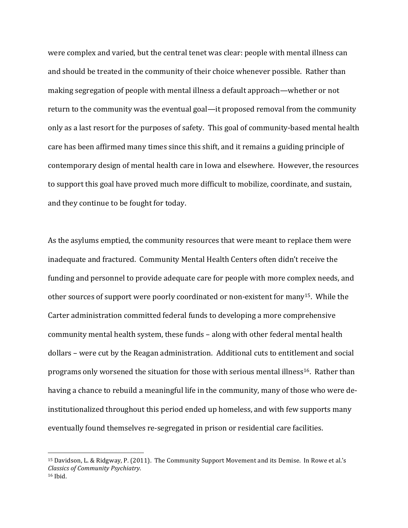were complex and varied, but the central tenet was clear: people with mental illness can and should be treated in the community of their choice whenever possible. Rather than making segregation of people with mental illness a default approach—whether or not return to the community was the eventual goal—it proposed removal from the community only as a last resort for the purposes of safety. This goal of community-based mental health care has been affirmed many times since this shift, and it remains a guiding principle of contemporary design of mental health care in Iowa and elsewhere. However, the resources to support this goal have proved much more difficult to mobilize, coordinate, and sustain, and they continue to be fought for today.

As the asylums emptied, the community resources that were meant to replace them were inadequate and fractured. Community Mental Health Centers often didn't receive the funding and personnel to provide adequate care for people with more complex needs, and other sources of support were poorly coordinated or non-existent for many<sup>15</sup>. While the Carter administration committed federal funds to developing a more comprehensive community mental health system, these funds – along with other federal mental health dollars – were cut by the Reagan administration. Additional cuts to entitlement and social programs only worsened the situation for those with serious mental illness<sup>16</sup>. Rather than having a chance to rebuild a meaningful life in the community, many of those who were deinstitutionalized throughout this period ended up homeless, and with few supports many eventually found themselves re-segregated in prison or residential care facilities.

 $15$  Davidson, L. & Ridgway, P. (2011). The Community Support Movement and its Demise. In Rowe et al.'s *Classics of Community Psychiatry*.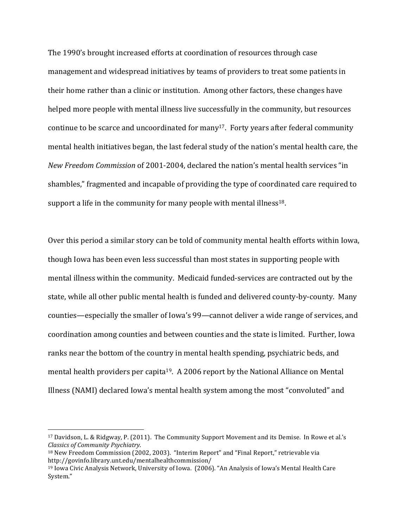The 1990's brought increased efforts at coordination of resources through case management and widespread initiatives by teams of providers to treat some patients in their home rather than a clinic or institution. Among other factors, these changes have helped more people with mental illness live successfully in the community, but resources continue to be scarce and uncoordinated for many<sup>17</sup>. Forty years after federal community mental health initiatives began, the last federal study of the nation's mental health care, the *New Freedom Commission* of 2001-2004, declared the nation's mental health services "in shambles," fragmented and incapable of providing the type of coordinated care required to support a life in the community for many people with mental illness<sup>18</sup>.

Over this period a similar story can be told of community mental health efforts within Iowa, though Iowa has been even less successful than most states in supporting people with mental illness within the community. Medicaid funded-services are contracted out by the state, while all other public mental health is funded and delivered county-by-county. Many counties—especially the smaller of Iowa's 99—cannot deliver a wide range of services, and coordination among counties and between counties and the state is limited. Further, Iowa ranks near the bottom of the country in mental health spending, psychiatric beds, and mental health providers per capita<sup>19</sup>. A 2006 report by the National Alliance on Mental Illness (NAMI) declared Iowa's mental health system among the most "convoluted" and

<sup>&</sup>lt;sup>17</sup> Davidson, L. & Ridgway, P. (2011). The Community Support Movement and its Demise. In Rowe et al.'s *Classics of Community Psychiatry*.

<sup>&</sup>lt;sup>18</sup> New Freedom Commission (2002, 2003). "Interim Report" and "Final Report," retrievable via http://govinfo.library.unt.edu/mentalhealthcommission/

<sup>&</sup>lt;sup>19</sup> Iowa Civic Analysis Network, University of Iowa. (2006). "An Analysis of Iowa's Mental Health Care System."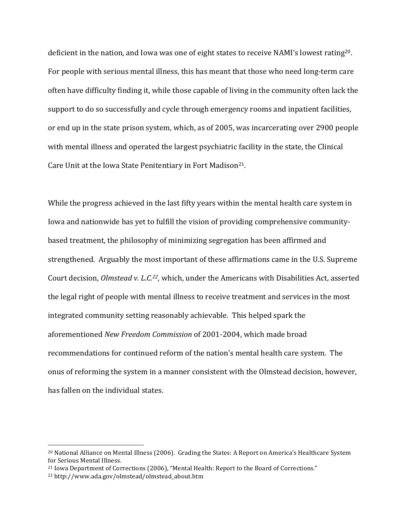deficient in the nation, and Iowa was one of eight states to receive NAMI's lowest rating<sup>20</sup>. For people with serious mental illness, this has meant that those who need long-term care often have difficulty finding it, while those capable of living in the community often lack the support to do so successfully and cycle through emergency rooms and inpatient facilities, or end up in the state prison system, which, as of 2005, was incarcerating over 2900 people with mental illness and operated the largest psychiatric facility in the state, the Clinical Care Unit at the Iowa State Penitentiary in Fort Madison<sup>21</sup>.

While the progress achieved in the last fifty years within the mental health care system in Iowa and nationwide has yet to fulfill the vision of providing comprehensive communitybased treatment, the philosophy of minimizing segregation has been affirmed and strengthened. Arguably the most important of these affirmations came in the U.S. Supreme Court decision, *Olmstead v. L.C.<sup>22</sup>*, which, under the Americans with Disabilities Act, asserted the legal right of people with mental illness to receive treatment and services in the most integrated community setting reasonably achievable. This helped spark the aforementioned *New Freedom Commission* of 2001-2004, which made broad recommendations for continued reform of the nation's mental health care system. The onus of reforming the system in a manner consistent with the Olmstead decision, however, has fallen on the individual states.

<sup>&</sup>lt;sup>20</sup> National Alliance on Mental Illness (2006). Grading the States: A Report on America's Healthcare System for Serious Mental Illness.

<sup>&</sup>lt;sup>21</sup> Iowa Department of Corrections (2006), "Mental Health: Report to the Board of Corrections."

<sup>22</sup> http://www.ada.gov/olmstead/olmstead\_about.htm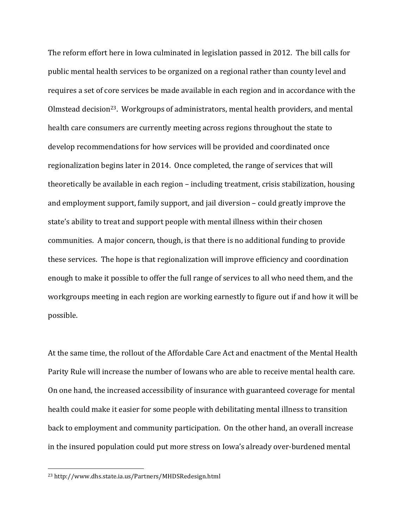The reform effort here in Iowa culminated in legislation passed in 2012. The bill calls for public mental health services to be organized on a regional rather than county level and requires a set of core services be made available in each region and in accordance with the Olmstead decision<sup>23</sup>. Workgroups of administrators, mental health providers, and mental health care consumers are currently meeting across regions throughout the state to develop recommendations for how services will be provided and coordinated once regionalization begins later in 2014. Once completed, the range of services that will theoretically be available in each region – including treatment, crisis stabilization, housing and employment support, family support, and jail diversion – could greatly improve the state's ability to treat and support people with mental illness within their chosen communities. A major concern, though, is that there is no additional funding to provide these services. The hope is that regionalization will improve efficiency and coordination enough to make it possible to offer the full range of services to all who need them, and the workgroups meeting in each region are working earnestly to figure out if and how it will be possible. 

At the same time, the rollout of the Affordable Care Act and enactment of the Mental Health Parity Rule will increase the number of Iowans who are able to receive mental health care. On one hand, the increased accessibility of insurance with guaranteed coverage for mental health could make it easier for some people with debilitating mental illness to transition back to employment and community participation. On the other hand, an overall increase in the insured population could put more stress on Iowa's already over-burdened mental

<sup>23</sup> http://www.dhs.state.ia.us/Partners/MHDSRedesign.html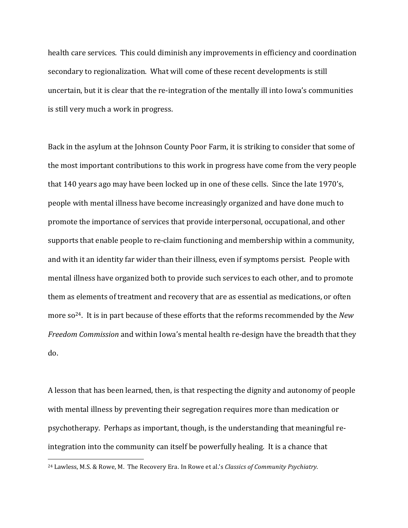health care services. This could diminish any improvements in efficiency and coordination secondary to regionalization. What will come of these recent developments is still uncertain, but it is clear that the re-integration of the mentally ill into Iowa's communities is still very much a work in progress.

Back in the asylum at the Johnson County Poor Farm, it is striking to consider that some of the most important contributions to this work in progress have come from the very people that 140 years ago may have been locked up in one of these cells. Since the late 1970's, people with mental illness have become increasingly organized and have done much to promote the importance of services that provide interpersonal, occupational, and other supports that enable people to re-claim functioning and membership within a community, and with it an identity far wider than their illness, even if symptoms persist. People with mental illness have organized both to provide such services to each other, and to promote them as elements of treatment and recovery that are as essential as medications, or often more so<sup>24</sup>. It is in part because of these efforts that the reforms recommended by the *New Freedom Commission* and within Iowa's mental health re-design have the breadth that they do. 

A lesson that has been learned, then, is that respecting the dignity and autonomy of people with mental illness by preventing their segregation requires more than medication or psychotherapy. Perhaps as important, though, is the understanding that meaningful reintegration into the community can itself be powerfully healing. It is a chance that

<sup>&</sup>lt;sup>24</sup> Lawless, M.S. & Rowe, M. The Recovery Era. In Rowe et al.'s *Classics of Community Psychiatry*.